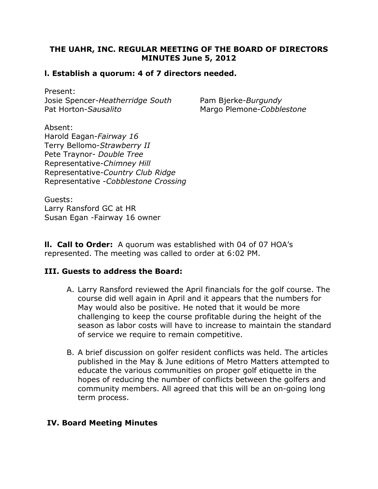# THE UAHR, INC. REGULAR MEETING OF THE BOARD OF DIRECTORS MINUTES June 5, 2012

# l. Establish a quorum: 4 of 7 directors needed.

Present: Josie Spencer-Heatherridge South Pam Bjerke-Burgundy Pat Horton-Sausalito Margo Plemone-Cobblestone

Absent: Harold Eagan-Fairway 16 Terry Bellomo-Strawberry II Pete Traynor- Double Tree Representative-Chimney Hill Representative-Country Club Ridge Representative -Cobblestone Crossing

Guests: Larry Ransford GC at HR Susan Egan -Fairway 16 owner

**II. Call to Order:** A quorum was established with 04 of 07 HOA's represented. The meeting was called to order at 6:02 PM.

### III. Guests to address the Board:

- A. Larry Ransford reviewed the April financials for the golf course. The course did well again in April and it appears that the numbers for May would also be positive. He noted that it would be more challenging to keep the course profitable during the height of the season as labor costs will have to increase to maintain the standard of service we require to remain competitive.
- B. A brief discussion on golfer resident conflicts was held. The articles published in the May & June editions of Metro Matters attempted to educate the various communities on proper golf etiquette in the hopes of reducing the number of conflicts between the golfers and community members. All agreed that this will be an on-going long term process.

### IV. Board Meeting Minutes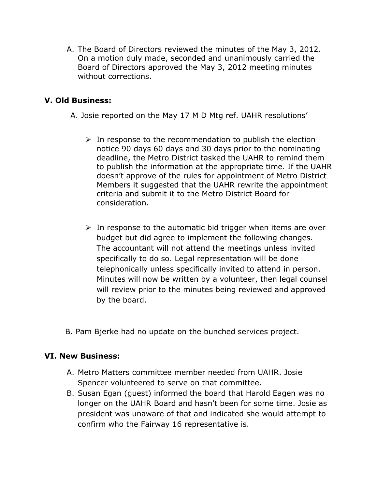A. The Board of Directors reviewed the minutes of the May 3, 2012. On a motion duly made, seconded and unanimously carried the Board of Directors approved the May 3, 2012 meeting minutes without corrections.

# V. Old Business:

A. Josie reported on the May 17 M D Mtg ref. UAHR resolutions'

- $\triangleright$  In response to the recommendation to publish the election notice 90 days 60 days and 30 days prior to the nominating deadline, the Metro District tasked the UAHR to remind them to publish the information at the appropriate time. If the UAHR doesn't approve of the rules for appointment of Metro District Members it suggested that the UAHR rewrite the appointment criteria and submit it to the Metro District Board for consideration.
- $\triangleright$  In response to the automatic bid trigger when items are over budget but did agree to implement the following changes. The accountant will not attend the meetings unless invited specifically to do so. Legal representation will be done telephonically unless specifically invited to attend in person. Minutes will now be written by a volunteer, then legal counsel will review prior to the minutes being reviewed and approved by the board.
- B. Pam Bjerke had no update on the bunched services project.

### VI. New Business:

- A. Metro Matters committee member needed from UAHR. Josie Spencer volunteered to serve on that committee.
- B. Susan Egan (guest) informed the board that Harold Eagen was no longer on the UAHR Board and hasn't been for some time. Josie as president was unaware of that and indicated she would attempt to confirm who the Fairway 16 representative is.